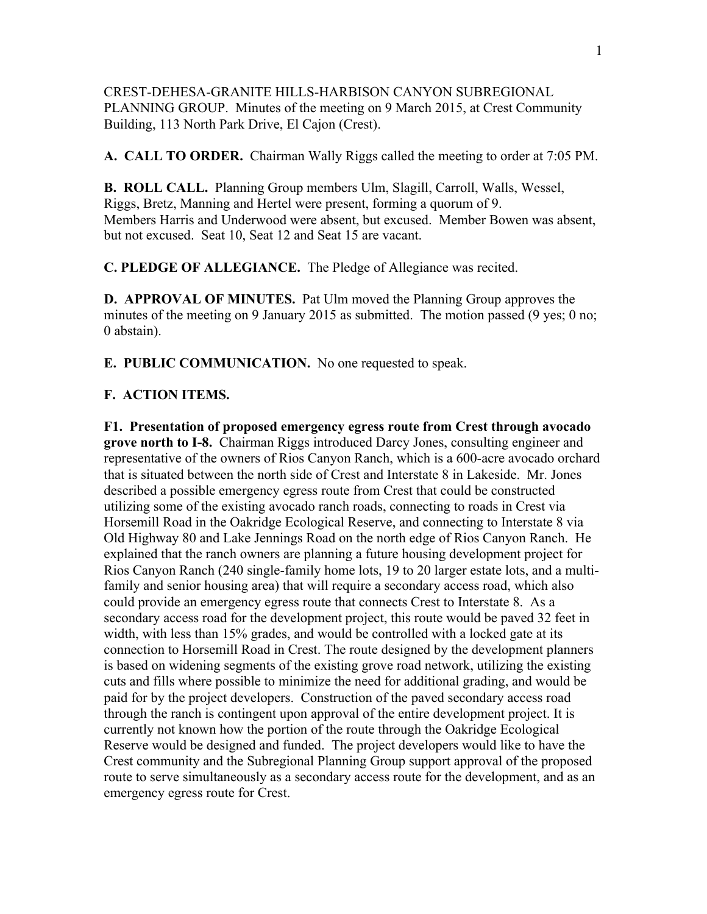CREST-DEHESA-GRANITE HILLS-HARBISON CANYON SUBREGIONAL PLANNING GROUP. Minutes of the meeting on 9 March 2015, at Crest Community Building, 113 North Park Drive, El Cajon (Crest).

**A. CALL TO ORDER.** Chairman Wally Riggs called the meeting to order at 7:05 PM.

**B. ROLL CALL.** Planning Group members Ulm, Slagill, Carroll, Walls, Wessel, Riggs, Bretz, Manning and Hertel were present, forming a quorum of 9. Members Harris and Underwood were absent, but excused. Member Bowen was absent, but not excused. Seat 10, Seat 12 and Seat 15 are vacant.

**C. PLEDGE OF ALLEGIANCE.** The Pledge of Allegiance was recited.

**D. APPROVAL OF MINUTES.** Pat Ulm moved the Planning Group approves the minutes of the meeting on 9 January 2015 as submitted. The motion passed (9 yes; 0 no; 0 abstain).

**E. PUBLIC COMMUNICATION.** No one requested to speak.

## **F. ACTION ITEMS.**

**F1. Presentation of proposed emergency egress route from Crest through avocado grove north to I-8.** Chairman Riggs introduced Darcy Jones, consulting engineer and representative of the owners of Rios Canyon Ranch, which is a 600-acre avocado orchard that is situated between the north side of Crest and Interstate 8 in Lakeside. Mr. Jones described a possible emergency egress route from Crest that could be constructed utilizing some of the existing avocado ranch roads, connecting to roads in Crest via Horsemill Road in the Oakridge Ecological Reserve, and connecting to Interstate 8 via Old Highway 80 and Lake Jennings Road on the north edge of Rios Canyon Ranch. He explained that the ranch owners are planning a future housing development project for Rios Canyon Ranch (240 single-family home lots, 19 to 20 larger estate lots, and a multifamily and senior housing area) that will require a secondary access road, which also could provide an emergency egress route that connects Crest to Interstate 8. As a secondary access road for the development project, this route would be paved 32 feet in width, with less than 15% grades, and would be controlled with a locked gate at its connection to Horsemill Road in Crest. The route designed by the development planners is based on widening segments of the existing grove road network, utilizing the existing cuts and fills where possible to minimize the need for additional grading, and would be paid for by the project developers. Construction of the paved secondary access road through the ranch is contingent upon approval of the entire development project. It is currently not known how the portion of the route through the Oakridge Ecological Reserve would be designed and funded. The project developers would like to have the Crest community and the Subregional Planning Group support approval of the proposed route to serve simultaneously as a secondary access route for the development, and as an emergency egress route for Crest.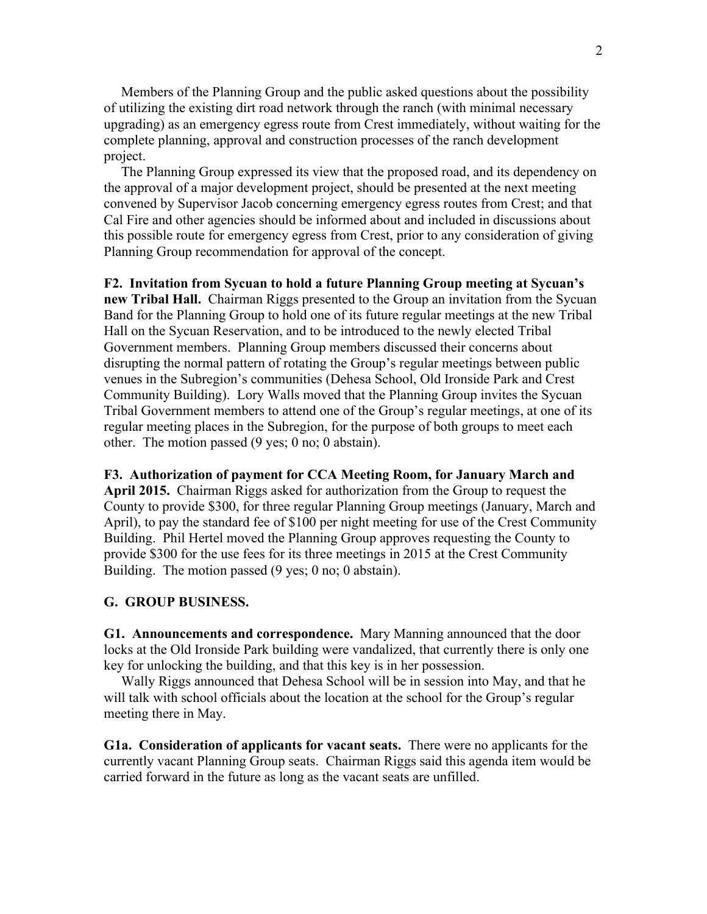Members of the Planning Group and the public asked questions about the possibility of utilizing the existing dirt road network through the ranch (with minimal necessary upgrading) as an emergency egress route from Crest immediately, without waiting for the complete planning, approval and construction processes of the ranch development project.

 The Planning Group expressed its view that the proposed road, and its dependency on the approval of a major development project, should be presented at the next meeting convened by Supervisor Jacob concerning emergency egress routes from Crest; and that Cal Fire and other agencies should be informed about and included in discussions about this possible route for emergency egress from Crest, prior to any consideration of giving Planning Group recommendation for approval of the concept.

**F2. Invitation from Sycuan to hold a future Planning Group meeting at Sycuan's new Tribal Hall.** Chairman Riggs presented to the Group an invitation from the Sycuan Band for the Planning Group to hold one of its future regular meetings at the new Tribal Hall on the Sycuan Reservation, and to be introduced to the newly elected Tribal Government members. Planning Group members discussed their concerns about disrupting the normal pattern of rotating the Group's regular meetings between public venues in the Subregion's communities (Dehesa School, Old Ironside Park and Crest Community Building). Lory Walls moved that the Planning Group invites the Sycuan Tribal Government members to attend one of the Group's regular meetings, at one of its regular meeting places in the Subregion, for the purpose of both groups to meet each other. The motion passed (9 yes; 0 no; 0 abstain).

**F3. Authorization of payment for CCA Meeting Room, for January March and April 2015.** Chairman Riggs asked for authorization from the Group to request the County to provide \$300, for three regular Planning Group meetings (January, March and April), to pay the standard fee of \$100 per night meeting for use of the Crest Community Building. Phil Hertel moved the Planning Group approves requesting the County to provide \$300 for the use fees for its three meetings in 2015 at the Crest Community Building. The motion passed (9 yes; 0 no; 0 abstain).

## **G. GROUP BUSINESS.**

**G1. Announcements and correspondence.** Mary Manning announced that the door locks at the Old Ironside Park building were vandalized, that currently there is only one key for unlocking the building, and that this key is in her possession.

 Wally Riggs announced that Dehesa School will be in session into May, and that he will talk with school officials about the location at the school for the Group's regular meeting there in May.

**G1a. Consideration of applicants for vacant seats.** There were no applicants for the currently vacant Planning Group seats. Chairman Riggs said this agenda item would be carried forward in the future as long as the vacant seats are unfilled.